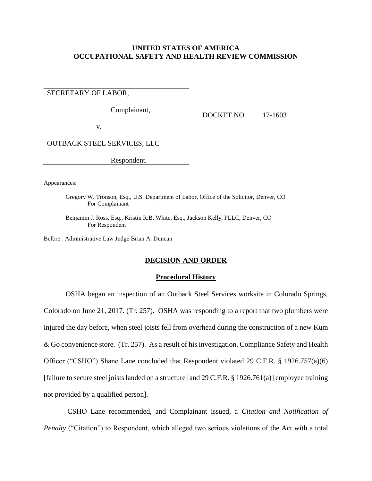# **UNITED STATES OF AMERICA OCCUPATIONAL SAFETY AND HEALTH REVIEW COMMISSION**

SECRETARY OF LABOR,

Complainant,

v.

DOCKET NO. 17-1603

OUTBACK STEEL SERVICES, LLC

Respondent.

Appearances:

Gregory W. Tronson, Esq., U.S. Department of Labor, Office of the Solicitor, Denver, CO For Complainant

Benjamin J. Ross, Esq., Kristin R.B. White, Esq., Jackson Kelly, PLLC, Denver, CO For Respondent

Before: Administrative Law Judge Brian A. Duncan

## **DECISION AND ORDER**

#### **Procedural History**

OSHA began an inspection of an Outback Steel Services worksite in Colorado Springs, Colorado on June 21, 2017. (Tr. 257). OSHA was responding to a report that two plumbers were injured the day before, when steel joists fell from overhead during the construction of a new Kum & Go convenience store. (Tr. 257). As a result of his investigation, Compliance Safety and Health Officer ("CSHO") Shane Lane concluded that Respondent violated 29 C.F.R. § 1926.757(a)(6) [failure to secure steel joists landed on a structure] and 29 C.F.R. § 1926.761(a) [employee training not provided by a qualified person].

CSHO Lane recommended, and Complainant issued, a *Citation and Notification of Penalty* ("Citation") to Respondent, which alleged two serious violations of the Act with a total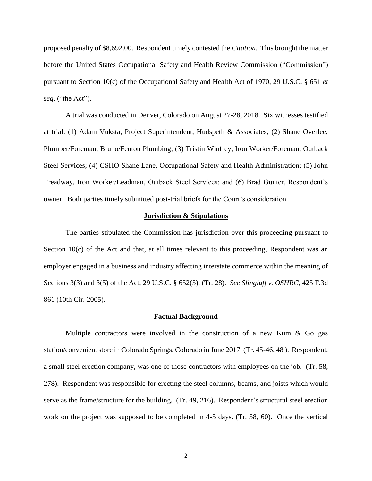proposed penalty of \$8,692.00. Respondent timely contested the *Citation*. This brought the matter before the United States Occupational Safety and Health Review Commission ("Commission") pursuant to Section 10(c) of the Occupational Safety and Health Act of 1970, 29 U.S.C. § 651 *et seq*. ("the Act").

A trial was conducted in Denver, Colorado on August 27-28, 2018. Six witnesses testified at trial: (1) Adam Vuksta, Project Superintendent, Hudspeth & Associates; (2) Shane Overlee, Plumber/Foreman, Bruno/Fenton Plumbing; (3) Tristin Winfrey, Iron Worker/Foreman, Outback Steel Services; (4) CSHO Shane Lane, Occupational Safety and Health Administration; (5) John Treadway, Iron Worker/Leadman, Outback Steel Services; and (6) Brad Gunter, Respondent's owner. Both parties timely submitted post-trial briefs for the Court's consideration.

## **Jurisdiction & Stipulations**

The parties stipulated the Commission has jurisdiction over this proceeding pursuant to Section  $10(c)$  of the Act and that, at all times relevant to this proceeding, Respondent was an employer engaged in a business and industry affecting interstate commerce within the meaning of Sections 3(3) and 3(5) of the Act, 29 U.S.C. § 652(5). (Tr. 28). *See Slingluff v. OSHRC*, 425 F.3d 861 (10th Cir. 2005).

#### **Factual Background**

Multiple contractors were involved in the construction of a new Kum  $\&$  Go gas station/convenient store in Colorado Springs, Colorado in June 2017. (Tr. 45-46, 48 ). Respondent, a small steel erection company, was one of those contractors with employees on the job. (Tr. 58, 278). Respondent was responsible for erecting the steel columns, beams, and joists which would serve as the frame/structure for the building. (Tr. 49, 216). Respondent's structural steel erection work on the project was supposed to be completed in 4-5 days. (Tr. 58, 60). Once the vertical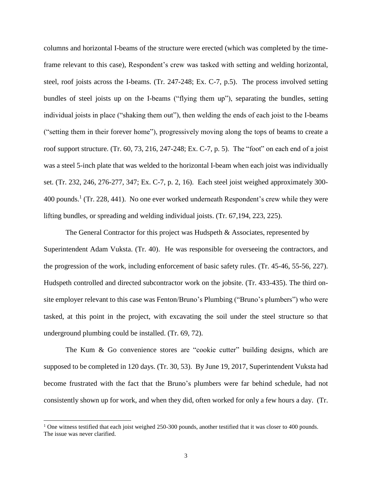columns and horizontal I-beams of the structure were erected (which was completed by the timeframe relevant to this case), Respondent's crew was tasked with setting and welding horizontal, steel, roof joists across the I-beams. (Tr. 247-248; Ex. C-7, p.5). The process involved setting bundles of steel joists up on the I-beams ("flying them up"), separating the bundles, setting individual joists in place ("shaking them out"), then welding the ends of each joist to the I-beams ("setting them in their forever home"), progressively moving along the tops of beams to create a roof support structure. (Tr. 60, 73, 216, 247-248; Ex. C-7, p. 5). The "foot" on each end of a joist was a steel 5-inch plate that was welded to the horizontal I-beam when each joist was individually set. (Tr. 232, 246, 276-277, 347; Ex. C-7, p. 2, 16). Each steel joist weighed approximately 300- 400 pounds.<sup>1</sup> (Tr. 228, 441). No one ever worked underneath Respondent's crew while they were lifting bundles, or spreading and welding individual joists. (Tr. 67,194, 223, 225).

The General Contractor for this project was Hudspeth & Associates, represented by Superintendent Adam Vuksta. (Tr. 40). He was responsible for overseeing the contractors, and the progression of the work, including enforcement of basic safety rules. (Tr. 45-46, 55-56, 227). Hudspeth controlled and directed subcontractor work on the jobsite. (Tr. 433-435). The third onsite employer relevant to this case was Fenton/Bruno's Plumbing ("Bruno's plumbers") who were tasked, at this point in the project, with excavating the soil under the steel structure so that underground plumbing could be installed. (Tr. 69, 72).

The Kum & Go convenience stores are "cookie cutter" building designs, which are supposed to be completed in 120 days. (Tr. 30, 53). By June 19, 2017, Superintendent Vuksta had become frustrated with the fact that the Bruno's plumbers were far behind schedule, had not consistently shown up for work, and when they did, often worked for only a few hours a day. (Tr.

 $\overline{a}$ 

<sup>&</sup>lt;sup>1</sup> One witness testified that each joist weighed 250-300 pounds, another testified that it was closer to 400 pounds. The issue was never clarified.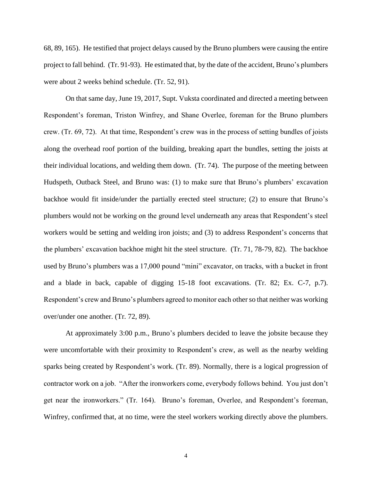68, 89, 165). He testified that project delays caused by the Bruno plumbers were causing the entire project to fall behind. (Tr. 91-93). He estimated that, by the date of the accident, Bruno's plumbers were about 2 weeks behind schedule. (Tr. 52, 91).

On that same day, June 19, 2017, Supt. Vuksta coordinated and directed a meeting between Respondent's foreman, Triston Winfrey, and Shane Overlee, foreman for the Bruno plumbers crew. (Tr. 69, 72). At that time, Respondent's crew was in the process of setting bundles of joists along the overhead roof portion of the building, breaking apart the bundles, setting the joists at their individual locations, and welding them down. (Tr. 74). The purpose of the meeting between Hudspeth, Outback Steel, and Bruno was: (1) to make sure that Bruno's plumbers' excavation backhoe would fit inside/under the partially erected steel structure; (2) to ensure that Bruno's plumbers would not be working on the ground level underneath any areas that Respondent's steel workers would be setting and welding iron joists; and (3) to address Respondent's concerns that the plumbers' excavation backhoe might hit the steel structure. (Tr. 71, 78-79, 82). The backhoe used by Bruno's plumbers was a 17,000 pound "mini" excavator, on tracks, with a bucket in front and a blade in back, capable of digging 15-18 foot excavations. (Tr. 82; Ex. C-7, p.7). Respondent's crew and Bruno's plumbers agreed to monitor each other so that neither was working over/under one another. (Tr. 72, 89).

At approximately 3:00 p.m., Bruno's plumbers decided to leave the jobsite because they were uncomfortable with their proximity to Respondent's crew, as well as the nearby welding sparks being created by Respondent's work. (Tr. 89). Normally, there is a logical progression of contractor work on a job. "After the ironworkers come, everybody follows behind. You just don't get near the ironworkers." (Tr. 164). Bruno's foreman, Overlee, and Respondent's foreman, Winfrey, confirmed that, at no time, were the steel workers working directly above the plumbers.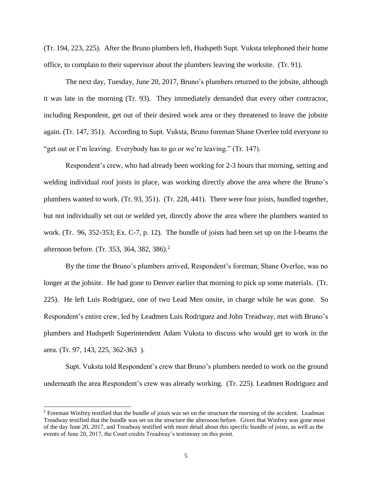(Tr. 194, 223, 225). After the Bruno plumbers left, Hudspeth Supt. Vuksta telephoned their home office, to complain to their supervisor about the plumbers leaving the worksite. (Tr. 91).

The next day, Tuesday, June 20, 2017, Bruno's plumbers returned to the jobsite, although it was late in the morning (Tr. 93). They immediately demanded that every other contractor, including Respondent, get out of their desired work area or they threatened to leave the jobsite again. (Tr. 147, 351). According to Supt. Vuksta, Bruno foreman Shane Overlee told everyone to "get out or I'm leaving. Everybody has to go or we're leaving." (Tr. 147).

Respondent's crew, who had already been working for 2-3 hours that morning, setting and welding individual roof joists in place, was working directly above the area where the Bruno's plumbers wanted to work. (Tr. 93, 351). (Tr. 228, 441). There were four joists, bundled together, but not individually set out or welded yet, directly above the area where the plumbers wanted to work. (Tr. 96, 352-353; Ex. C-7, p. 12). The bundle of joists had been set up on the I-beams the afternoon before. (Tr. 353, 364, 382, 386). 2

By the time the Bruno's plumbers arrived, Respondent's foreman, Shane Overlee, was no longer at the jobsite. He had gone to Denver earlier that morning to pick up some materials. (Tr. 225). He left Luis Rodriguez, one of two Lead Men onsite, in charge while he was gone. So Respondent's entire crew, led by Leadmen Luis Rodriguez and John Treadway, met with Bruno's plumbers and Hudspeth Superintendent Adam Vuksta to discuss who would get to work in the area. (Tr. 97, 143, 225, 362-363 ).

Supt. Vuksta told Respondent's crew that Bruno's plumbers needed to work on the ground underneath the area Respondent's crew was already working. (Tr. 225). Leadmen Rodriguez and

 $\overline{a}$ 

 $2$  Foreman Winfrey testified that the bundle of joists was set on the structure the morning of the accident. Leadman Treadway testified that the bundle was set on the structure the afternoon before. Given that Winfrey was gone most of the day June 20, 2017, and Treadway testified with more detail about this specific bundle of joists, as well as the events of June 20, 2017, the Court credits Treadway's testimony on this point.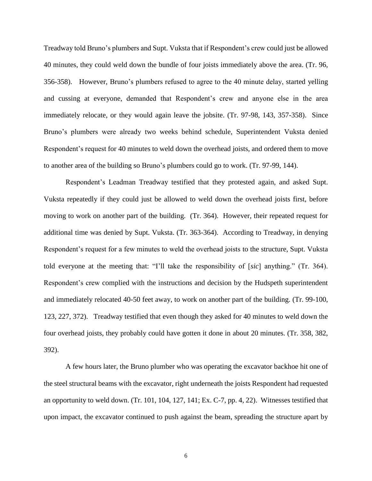Treadway told Bruno's plumbers and Supt. Vuksta that if Respondent's crew could just be allowed 40 minutes, they could weld down the bundle of four joists immediately above the area. (Tr. 96, 356-358). However, Bruno's plumbers refused to agree to the 40 minute delay, started yelling and cussing at everyone, demanded that Respondent's crew and anyone else in the area immediately relocate, or they would again leave the jobsite. (Tr. 97-98, 143, 357-358). Since Bruno's plumbers were already two weeks behind schedule, Superintendent Vuksta denied Respondent's request for 40 minutes to weld down the overhead joists, and ordered them to move to another area of the building so Bruno's plumbers could go to work. (Tr. 97-99, 144).

Respondent's Leadman Treadway testified that they protested again, and asked Supt. Vuksta repeatedly if they could just be allowed to weld down the overhead joists first, before moving to work on another part of the building. (Tr. 364). However, their repeated request for additional time was denied by Supt. Vuksta. (Tr. 363-364). According to Treadway, in denying Respondent's request for a few minutes to weld the overhead joists to the structure, Supt. Vuksta told everyone at the meeting that: "I'll take the responsibility of [*sic*] anything." (Tr. 364). Respondent's crew complied with the instructions and decision by the Hudspeth superintendent and immediately relocated 40-50 feet away, to work on another part of the building. (Tr. 99-100, 123, 227, 372). Treadway testified that even though they asked for 40 minutes to weld down the four overhead joists, they probably could have gotten it done in about 20 minutes. (Tr. 358, 382, 392).

A few hours later, the Bruno plumber who was operating the excavator backhoe hit one of the steel structural beams with the excavator, right underneath the joists Respondent had requested an opportunity to weld down. (Tr. 101, 104, 127, 141; Ex. C-7, pp. 4, 22). Witnesses testified that upon impact, the excavator continued to push against the beam, spreading the structure apart by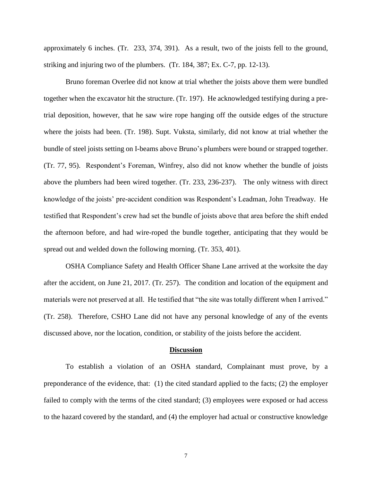approximately 6 inches. (Tr. 233, 374, 391). As a result, two of the joists fell to the ground, striking and injuring two of the plumbers. (Tr. 184, 387; Ex. C-7, pp. 12-13).

Bruno foreman Overlee did not know at trial whether the joists above them were bundled together when the excavator hit the structure. (Tr. 197). He acknowledged testifying during a pretrial deposition, however, that he saw wire rope hanging off the outside edges of the structure where the joists had been. (Tr. 198). Supt. Vuksta, similarly, did not know at trial whether the bundle of steel joists setting on I-beams above Bruno's plumbers were bound or strapped together. (Tr. 77, 95). Respondent's Foreman, Winfrey, also did not know whether the bundle of joists above the plumbers had been wired together. (Tr. 233, 236-237). The only witness with direct knowledge of the joists' pre-accident condition was Respondent's Leadman, John Treadway. He testified that Respondent's crew had set the bundle of joists above that area before the shift ended the afternoon before, and had wire-roped the bundle together, anticipating that they would be spread out and welded down the following morning. (Tr. 353, 401).

OSHA Compliance Safety and Health Officer Shane Lane arrived at the worksite the day after the accident, on June 21, 2017. (Tr. 257). The condition and location of the equipment and materials were not preserved at all. He testified that "the site was totally different when I arrived." (Tr. 258). Therefore, CSHO Lane did not have any personal knowledge of any of the events discussed above, nor the location, condition, or stability of the joists before the accident.

#### **Discussion**

To establish a violation of an OSHA standard, Complainant must prove, by a preponderance of the evidence, that: (1) the cited standard applied to the facts; (2) the employer failed to comply with the terms of the cited standard; (3) employees were exposed or had access to the hazard covered by the standard, and (4) the employer had actual or constructive knowledge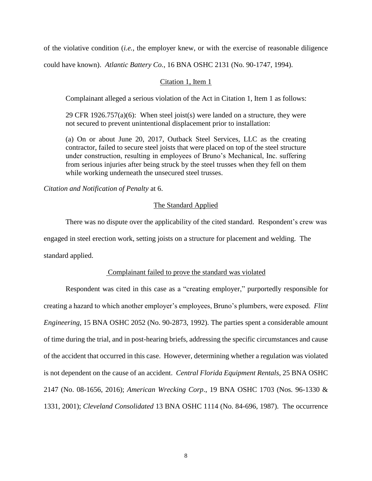of the violative condition (*i.e.*, the employer knew, or with the exercise of reasonable diligence

could have known). *Atlantic Battery Co.*, 16 BNA OSHC 2131 (No. 90-1747, 1994).

### Citation 1, Item 1

Complainant alleged a serious violation of the Act in Citation 1, Item 1 as follows:

29 CFR 1926.757(a)(6): When steel joist(s) were landed on a structure, they were not secured to prevent unintentional displacement prior to installation:

(a) On or about June 20, 2017, Outback Steel Services, LLC as the creating contractor, failed to secure steel joists that were placed on top of the steel structure under construction, resulting in employees of Bruno's Mechanical, Inc. suffering from serious injuries after being struck by the steel trusses when they fell on them while working underneath the unsecured steel trusses.

*Citation and Notification of Penalty* at 6.

## The Standard Applied

There was no dispute over the applicability of the cited standard. Respondent's crew was engaged in steel erection work, setting joists on a structure for placement and welding. The standard applied.

## Complainant failed to prove the standard was violated

Respondent was cited in this case as a "creating employer," purportedly responsible for creating a hazard to which another employer's employees, Bruno's plumbers, were exposed. *Flint Engineering*, 15 BNA OSHC 2052 (No. 90-2873, 1992). The parties spent a considerable amount of time during the trial, and in post-hearing briefs, addressing the specific circumstances and cause of the accident that occurred in this case. However, determining whether a regulation was violated is not dependent on the cause of an accident. *Central Florida Equipment Rentals*, 25 BNA OSHC 2147 (No. 08-1656, 2016); *American Wrecking Corp*., 19 BNA OSHC 1703 (Nos. 96-1330 & 1331, 2001); *Cleveland Consolidated* 13 BNA OSHC 1114 (No. 84-696, 1987). The occurrence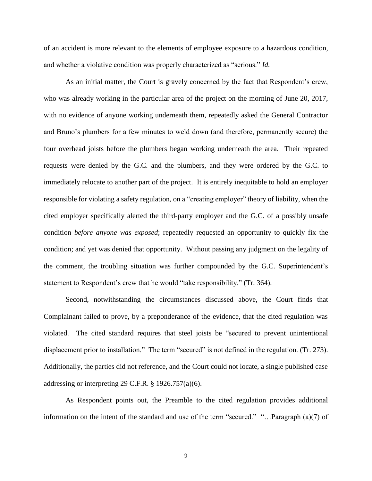of an accident is more relevant to the elements of employee exposure to a hazardous condition, and whether a violative condition was properly characterized as "serious." *Id.*

As an initial matter, the Court is gravely concerned by the fact that Respondent's crew, who was already working in the particular area of the project on the morning of June 20, 2017, with no evidence of anyone working underneath them, repeatedly asked the General Contractor and Bruno's plumbers for a few minutes to weld down (and therefore, permanently secure) the four overhead joists before the plumbers began working underneath the area. Their repeated requests were denied by the G.C. and the plumbers, and they were ordered by the G.C. to immediately relocate to another part of the project. It is entirely inequitable to hold an employer responsible for violating a safety regulation, on a "creating employer" theory of liability, when the cited employer specifically alerted the third-party employer and the G.C. of a possibly unsafe condition *before anyone was exposed*; repeatedly requested an opportunity to quickly fix the condition; and yet was denied that opportunity. Without passing any judgment on the legality of the comment, the troubling situation was further compounded by the G.C. Superintendent's statement to Respondent's crew that he would "take responsibility." (Tr. 364).

Second, notwithstanding the circumstances discussed above, the Court finds that Complainant failed to prove, by a preponderance of the evidence, that the cited regulation was violated. The cited standard requires that steel joists be "secured to prevent unintentional displacement prior to installation." The term "secured" is not defined in the regulation. (Tr. 273). Additionally, the parties did not reference, and the Court could not locate, a single published case addressing or interpreting 29 C.F.R.  $\S$  1926.757(a)(6).

As Respondent points out, the Preamble to the cited regulation provides additional information on the intent of the standard and use of the term "secured." "…Paragraph (a)(7) of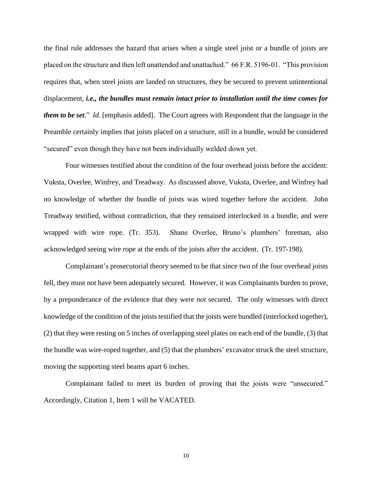the final rule addresses the hazard that arises when a single steel joist or a bundle of joists are placed on the structure and then left unattended and unattached." 66 F.R. 5196-01. "This provision requires that, when steel joists are landed on structures, they be secured to prevent unintentional displacement, *i.e., the bundles must remain intact prior to installation until the time comes for them to be set*." *Id.* [emphasis added]. The Court agrees with Respondent that the language in the Preamble certainly implies that joists placed on a structure, still in a bundle, would be considered "secured" even though they have not been individually welded down yet.

Four witnesses testified about the condition of the four overhead joists before the accident: Vuksta, Overlee, Winfrey, and Treadway. As discussed above, Vuksta, Overlee, and Winfrey had no knowledge of whether the bundle of joists was wired together before the accident. John Treadway testified, without contradiction, that they remained interlocked in a bundle, and were wrapped with wire rope. (Tr. 353). Shane Overlee, Bruno's plumbers' foreman, also acknowledged seeing wire rope at the ends of the joists after the accident. (Tr. 197-198).

Complainant's prosecutorial theory seemed to be that since two of the four overhead joists fell, they must not have been adequately secured. However, it was Complainants burden to prove, by a preponderance of the evidence that they were *not* secured. The only witnesses with direct knowledge of the condition of the joists testified that the joists were bundled (interlocked together), (2) that they were resting on 5 inches of overlapping steel plates on each end of the bundle, (3) that the bundle was wire-roped together, and (5) that the plumbers' excavator struck the steel structure, moving the supporting steel beams apart 6 inches.

Complainant failed to meet its burden of proving that the joists were "unsecured." Accordingly, Citation 1, Item 1 will be VACATED.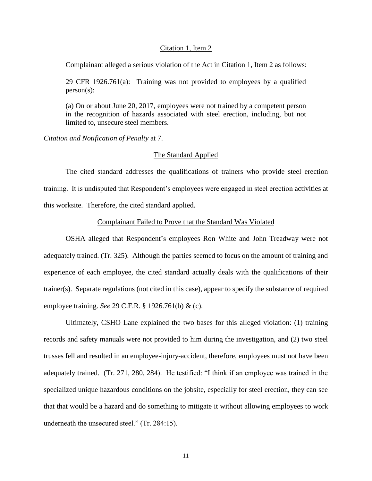## Citation 1, Item 2

Complainant alleged a serious violation of the Act in Citation 1, Item 2 as follows:

29 CFR 1926.761(a): Training was not provided to employees by a qualified person(s):

(a) On or about June 20, 2017, employees were not trained by a competent person in the recognition of hazards associated with steel erection, including, but not limited to, unsecure steel members.

*Citation and Notification of Penalty* at 7.

# The Standard Applied

The cited standard addresses the qualifications of trainers who provide steel erection training. It is undisputed that Respondent's employees were engaged in steel erection activities at this worksite. Therefore, the cited standard applied.

## Complainant Failed to Prove that the Standard Was Violated

OSHA alleged that Respondent's employees Ron White and John Treadway were not adequately trained. (Tr. 325). Although the parties seemed to focus on the amount of training and experience of each employee, the cited standard actually deals with the qualifications of their trainer(s). Separate regulations (not cited in this case), appear to specify the substance of required employee training. *See* 29 C.F.R. § 1926.761(b) & (c).

Ultimately, CSHO Lane explained the two bases for this alleged violation: (1) training records and safety manuals were not provided to him during the investigation, and (2) two steel trusses fell and resulted in an employee-injury-accident, therefore, employees must not have been adequately trained. (Tr. 271, 280, 284). He testified: "I think if an employee was trained in the specialized unique hazardous conditions on the jobsite, especially for steel erection, they can see that that would be a hazard and do something to mitigate it without allowing employees to work underneath the unsecured steel." (Tr. 284:15).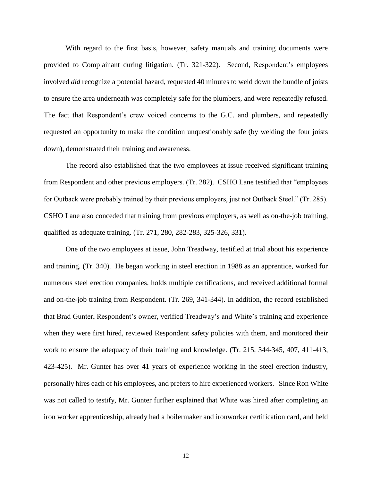With regard to the first basis, however, safety manuals and training documents were provided to Complainant during litigation. (Tr. 321-322). Second, Respondent's employees involved *did* recognize a potential hazard, requested 40 minutes to weld down the bundle of joists to ensure the area underneath was completely safe for the plumbers, and were repeatedly refused. The fact that Respondent's crew voiced concerns to the G.C. and plumbers, and repeatedly requested an opportunity to make the condition unquestionably safe (by welding the four joists down), demonstrated their training and awareness.

The record also established that the two employees at issue received significant training from Respondent and other previous employers. (Tr. 282). CSHO Lane testified that "employees for Outback were probably trained by their previous employers, just not Outback Steel." (Tr. 285). CSHO Lane also conceded that training from previous employers, as well as on-the-job training, qualified as adequate training. (Tr. 271, 280, 282-283, 325-326, 331).

One of the two employees at issue, John Treadway, testified at trial about his experience and training. (Tr. 340). He began working in steel erection in 1988 as an apprentice, worked for numerous steel erection companies, holds multiple certifications, and received additional formal and on-the-job training from Respondent. (Tr. 269, 341-344). In addition, the record established that Brad Gunter, Respondent's owner, verified Treadway's and White's training and experience when they were first hired, reviewed Respondent safety policies with them, and monitored their work to ensure the adequacy of their training and knowledge. (Tr. 215, 344-345, 407, 411-413, 423-425). Mr. Gunter has over 41 years of experience working in the steel erection industry, personally hires each of his employees, and prefers to hire experienced workers. Since Ron White was not called to testify, Mr. Gunter further explained that White was hired after completing an iron worker apprenticeship, already had a boilermaker and ironworker certification card, and held